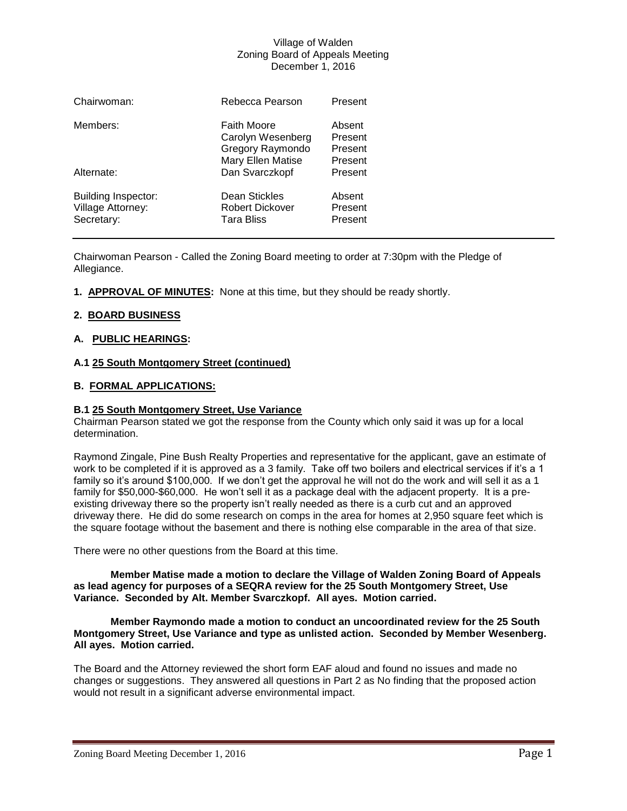### Village of Walden Zoning Board of Appeals Meeting December 1, 2016

| Chairwoman:                                                   | Rebecca Pearson                                                           | Present                                 |
|---------------------------------------------------------------|---------------------------------------------------------------------------|-----------------------------------------|
| Members:                                                      | Faith Moore<br>Carolyn Wesenberg<br>Gregory Raymondo<br>Mary Ellen Matise | Absent<br>Present<br>Present<br>Present |
| Alternate:                                                    | Dan Svarczkopf                                                            | Present                                 |
| <b>Building Inspector:</b><br>Village Attorney:<br>Secretary: | Dean Stickles<br>Robert Dickover<br><b>Tara Bliss</b>                     | Absent<br>Present<br>Present            |

Chairwoman Pearson - Called the Zoning Board meeting to order at 7:30pm with the Pledge of Allegiance.

**1. APPROVAL OF MINUTES:** None at this time, but they should be ready shortly.

# **2. BOARD BUSINESS**

# **A. PUBLIC HEARINGS:**

# **A.1 25 South Montgomery Street (continued)**

# **B. FORMAL APPLICATIONS:**

### **B.1 25 South Montgomery Street, Use Variance**

Chairman Pearson stated we got the response from the County which only said it was up for a local determination.

Raymond Zingale, Pine Bush Realty Properties and representative for the applicant, gave an estimate of work to be completed if it is approved as a 3 family. Take off two boilers and electrical services if it's a 1 family so it's around \$100,000. If we don't get the approval he will not do the work and will sell it as a 1 family for \$50,000-\$60,000. He won't sell it as a package deal with the adjacent property. It is a preexisting driveway there so the property isn't really needed as there is a curb cut and an approved driveway there. He did do some research on comps in the area for homes at 2,950 square feet which is the square footage without the basement and there is nothing else comparable in the area of that size.

There were no other questions from the Board at this time.

#### **Member Matise made a motion to declare the Village of Walden Zoning Board of Appeals as lead agency for purposes of a SEQRA review for the 25 South Montgomery Street, Use Variance. Seconded by Alt. Member Svarczkopf. All ayes. Motion carried.**

**Member Raymondo made a motion to conduct an uncoordinated review for the 25 South Montgomery Street, Use Variance and type as unlisted action. Seconded by Member Wesenberg. All ayes. Motion carried.**

The Board and the Attorney reviewed the short form EAF aloud and found no issues and made no changes or suggestions. They answered all questions in Part 2 as No finding that the proposed action would not result in a significant adverse environmental impact.